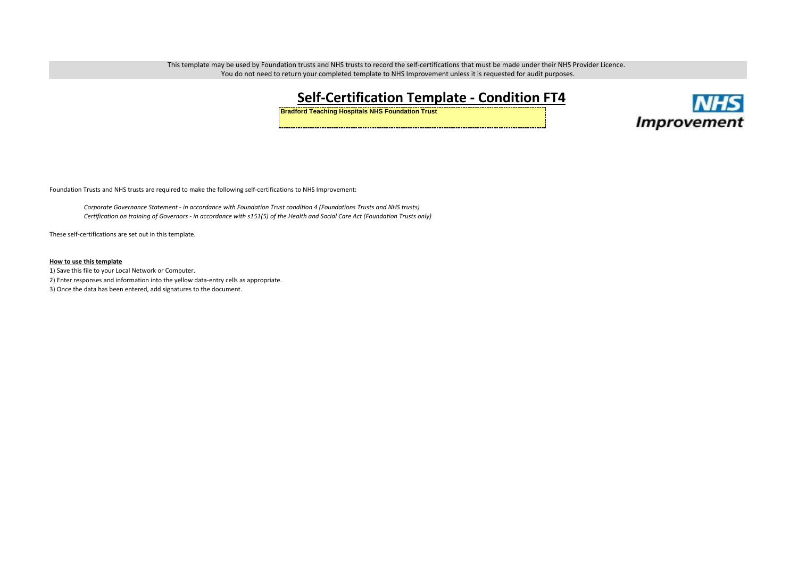This template may be used by Foundation trusts and NHS trusts to record the self-certifications that must be made under their NHS Provider Licence. You do not need to return your completed template to NHS Improvement unless it is requested for audit purposes.

## **Self-Certification Template - Condition FT4**

**Bradford Teaching Hospitals NHS Foundation Trust**



Foundation Trusts and NHS trusts are required to make the following self-certifications to NHS Improvement:

*Corporate Governance Statement - in accordance with Foundation Trust condition 4 (Foundations Trusts and NHS trusts) Certification on training of Governors - in accordance with s151(5) of the Health and Social Care Act (Foundation Trusts only)*

These self-certifications are set out in this template.

#### **How to use this template**

1) Save this file to your Local Network or Computer. 2) Enter responses and information into the yellow data-entry cells as appropriate.

3) Once the data has been entered, add signatures to the document.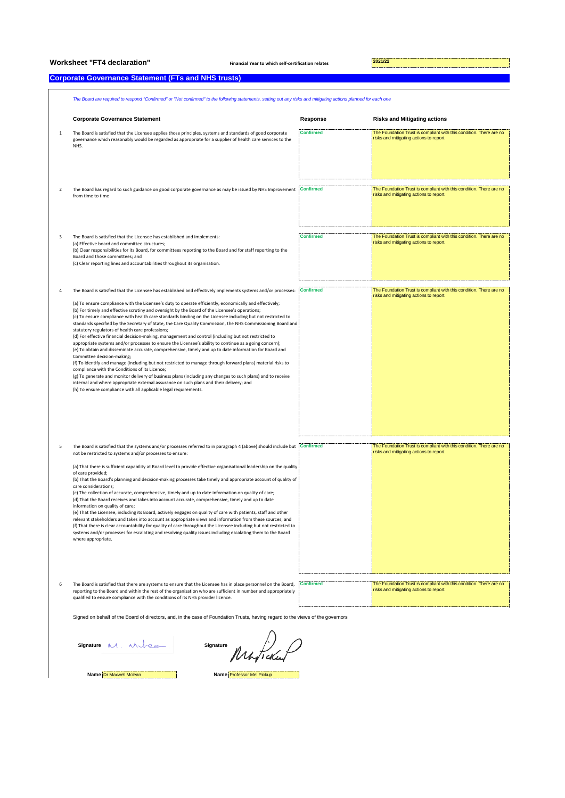# **Worksheet "FT4 declaration" Financial Year to which self-certification relates 2021/22**

### **Corporate Governance Statement (FTs and NHS trusts)**

|                | The Board are required to respond "Confirmed" or "Not confirmed" to the following statements, setting out any risks and mitigating actions planned for each one                                                                                                                                                                                                                                                                                                                                                                                                                                                                                                                                                                                                                                                                                                                                                                                                                                                                                                                                                                                                                                                                                                                                                                                                                                                       |                  |                                                                                                                |  |  |
|----------------|-----------------------------------------------------------------------------------------------------------------------------------------------------------------------------------------------------------------------------------------------------------------------------------------------------------------------------------------------------------------------------------------------------------------------------------------------------------------------------------------------------------------------------------------------------------------------------------------------------------------------------------------------------------------------------------------------------------------------------------------------------------------------------------------------------------------------------------------------------------------------------------------------------------------------------------------------------------------------------------------------------------------------------------------------------------------------------------------------------------------------------------------------------------------------------------------------------------------------------------------------------------------------------------------------------------------------------------------------------------------------------------------------------------------------|------------------|----------------------------------------------------------------------------------------------------------------|--|--|
|                | <b>Corporate Governance Statement</b>                                                                                                                                                                                                                                                                                                                                                                                                                                                                                                                                                                                                                                                                                                                                                                                                                                                                                                                                                                                                                                                                                                                                                                                                                                                                                                                                                                                 | Response         | <b>Risks and Mitigating actions</b>                                                                            |  |  |
| $\,1\,$        | The Board is satisfied that the Licensee applies those principles, systems and standards of good corporate<br>governance which reasonably would be regarded as appropriate for a supplier of health care services to the<br>NHS.                                                                                                                                                                                                                                                                                                                                                                                                                                                                                                                                                                                                                                                                                                                                                                                                                                                                                                                                                                                                                                                                                                                                                                                      | <b>Confirmed</b> | The Foundation Trust is compliant with this condition. There are no<br>risks and mitigating actions to report. |  |  |
| 2              | The Board has regard to such guidance on good corporate governance as may be issued by NHS Improvement<br>from time to time                                                                                                                                                                                                                                                                                                                                                                                                                                                                                                                                                                                                                                                                                                                                                                                                                                                                                                                                                                                                                                                                                                                                                                                                                                                                                           | <b>Confirmed</b> | The Foundation Trust is compliant with this condition. There are no<br>risks and mitigating actions to report. |  |  |
| 3              | The Board is satisfied that the Licensee has established and implements:<br>(a) Effective board and committee structures;<br>(b) Clear responsibilities for its Board, for committees reporting to the Board and for staff reporting to the<br>Board and those committees; and<br>(c) Clear reporting lines and accountabilities throughout its organisation.                                                                                                                                                                                                                                                                                                                                                                                                                                                                                                                                                                                                                                                                                                                                                                                                                                                                                                                                                                                                                                                         | <b>Confirmed</b> | The Foundation Trust is compliant with this condition. There are no<br>risks and mitigating actions to report. |  |  |
| $\overline{4}$ | The Board is satisfied that the Licensee has established and effectively implements systems and/or processes:<br>(a) To ensure compliance with the Licensee's duty to operate efficiently, economically and effectively;<br>(b) For timely and effective scrutiny and oversight by the Board of the Licensee's operations;<br>(c) To ensure compliance with health care standards binding on the Licensee including but not restricted to<br>standards specified by the Secretary of State, the Care Quality Commission, the NHS Commissioning Board and<br>statutory regulators of health care professions;<br>(d) For effective financial decision-making, management and control (including but not restricted to<br>appropriate systems and/or processes to ensure the Licensee's ability to continue as a going concern);<br>(e) To obtain and disseminate accurate, comprehensive, timely and up to date information for Board and<br>Committee decision-making;<br>(f) To identify and manage (including but not restricted to manage through forward plans) material risks to<br>compliance with the Conditions of its Licence;<br>(g) To generate and monitor delivery of business plans (including any changes to such plans) and to receive<br>internal and where appropriate external assurance on such plans and their delivery; and<br>(h) To ensure compliance with all applicable legal requirements. | <b>Confirmed</b> | The Foundation Trust is compliant with this condition. There are no<br>risks and mitigating actions to report. |  |  |
| 5              | The Board is satisfied that the systems and/or processes referred to in paragraph 4 (above) should include but Confirmed<br>not be restricted to systems and/or processes to ensure:<br>(a) That there is sufficient capability at Board level to provide effective organisational leadership on the quality<br>of care provided;<br>(b) That the Board's planning and decision-making processes take timely and appropriate account of quality of<br>care considerations;<br>(c) The collection of accurate, comprehensive, timely and up to date information on quality of care;<br>(d) That the Board receives and takes into account accurate, comprehensive, timely and up to date<br>information on quality of care;<br>(e) That the Licensee, including its Board, actively engages on quality of care with patients, staff and other<br>relevant stakeholders and takes into account as appropriate views and information from these sources; and<br>(f) That there is clear accountability for quality of care throughout the Licensee including but not restricted to<br>systems and/or processes for escalating and resolving quality issues including escalating them to the Board<br>where appropriate.                                                                                                                                                                                                  |                  | The Foundation Trust is compliant with this condition. There are no<br>risks and mitigating actions to report. |  |  |
| 6              | The Board is satisfied that there are systems to ensure that the Licensee has in place personnel on the Board,<br>reporting to the Board and within the rest of the organisation who are sufficient in number and appropriately<br>qualified to ensure compliance with the conditions of its NHS provider licence.                                                                                                                                                                                                                                                                                                                                                                                                                                                                                                                                                                                                                                                                                                                                                                                                                                                                                                                                                                                                                                                                                                    | <b>Confirmed</b> | The Foundation Trust is compliant with this condition. There are no<br>risks and mitigating actions to report. |  |  |
|                | Signed on behalf of the Board of directors, and, in the case of Foundation Trusts, having regard to the views of the governors                                                                                                                                                                                                                                                                                                                                                                                                                                                                                                                                                                                                                                                                                                                                                                                                                                                                                                                                                                                                                                                                                                                                                                                                                                                                                        |                  |                                                                                                                |  |  |

**Signature Signature**

Muticke

**Name** Dr Maxwell Mclean **Name** Professor Mel Pickup